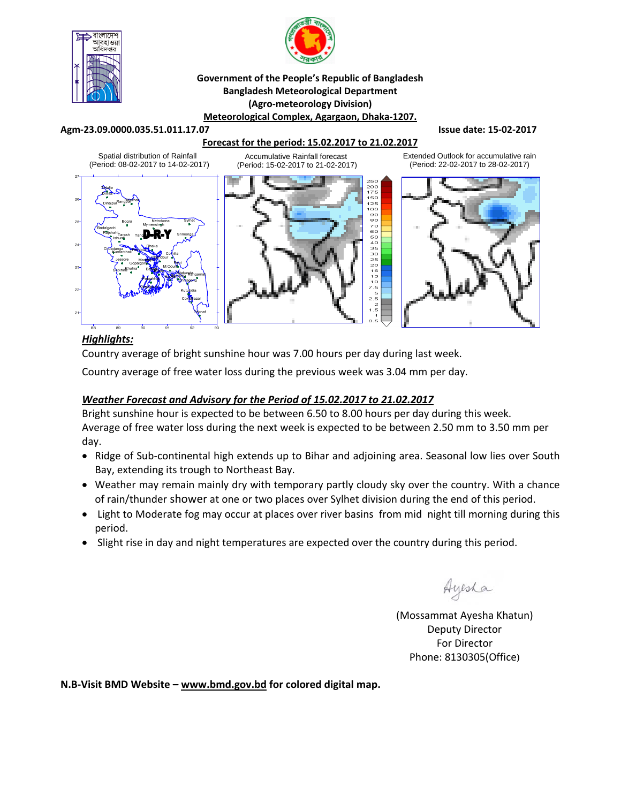



#### **Government of the People's Republic of Bangladesh Bangladesh Meteorological Department (Agro‐meteorology Division) Meteorological Complex, Agargaon, Dhaka‐1207.**

#### **Agm‐23.09.0000.035.51.011.17.07 Issue date: 15‐02‐2017**

### **Forecast for the period: 15.02.2017 to 21.02.2017**



i (Period: 22-02-2017 to 28-02-2017)

Extended Outlook for accumulative rain

## *Highlights:*

Country average of bright sunshine hour was 7.00 hours per day during last week.

Country average of free water loss during the previous week was 3.04 mm per day.

### *Weather Forecast and Advisory for the Period of 15.02.2017 to 21.02.2017*

Bright sunshine hour is expected to be between 6.50 to 8.00 hours per day during this week. Average of free water loss during the next week is expected to be between 2.50 mm to 3.50 mm per day.

- Ridge of Sub-continental high extends up to Bihar and adjoining area. Seasonal low lies over South Bay, extending its trough to Northeast Bay.
- Weather may remain mainly dry with temporary partly cloudy sky over the country. With a chance of rain/thunder shower at one or two places over Sylhet division during the end of this period.
- Light to Moderate fog may occur at places over river basins from mid night till morning during this period.
- Slight rise in day and night temperatures are expected over the country during this period.

Ayesha

(Mossammat Ayesha Khatun) Deputy Director For Director Phone: 8130305(Office)

**N.B‐Visit BMD Website – www.bmd.gov.bd for colored digital map.**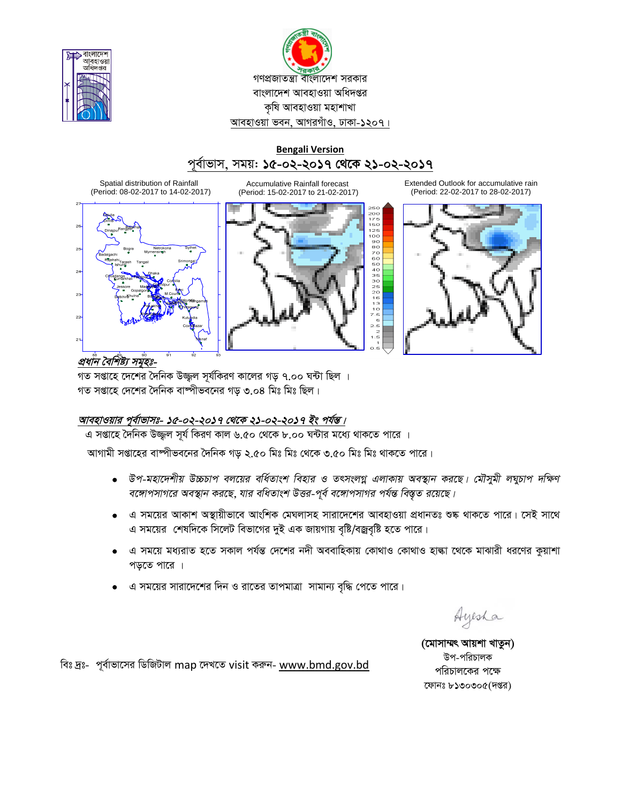



## **Bengali Version** পৰ্বাভাস, সময়: **১৫-০২-২০১৭ থেকে ২১-০২-২০১৭**

Spatial distribution of Rainfall (Period: 08-02-2017 to 14-02-2017)



Accumulative Rainfall forecast (Period: 15-02-2017 to 21-02-2017)



Extended Outlook for accumulative rain (Period: 22-02-2017 to 28-02-2017)



প্ৰধান বৈশিষ্ট্য সমূহঃ-

গত সপ্তাহে দেশের দৈনিক উজ্জুল সূর্যকিরণ কালের গড় ৭.০০ ঘন্টা ছিল । গত সপ্তাহে দেশের দৈনিক বাষ্পীভবনের গড় ৩.০৪ মিঃ মিঃ ছিল।

# <u> আবহাওয়ার পূর্বাভাসঃ- ১৫-০২-২০১৭ থেকে ২১-০২-২০১৭ ইং পর্যন্ত।</u>

এ সপ্তাহে দৈনিক উজ্জল সূর্য কিরণ কাল ৬.৫০ থেকে ৮.০০ ঘন্টার মধ্যে থাকতে পারে ।

আগামী সপ্তাহের বাষ্পীভবনের দৈনিক গড় ২.৫০ মিঃ মিঃ থেকে ৩.৫০ মিঃ মিঃ থাকতে পারে।

- $\bullet$  উপ-মহাদেশীয় উচ্চচাপ বলয়ের বর্ধিতাংশ বিহার ও তৎসংলগ্ন এলাকায় অবস্থান করছে। মৌসুমী লঘুচাপ দক্ষিণ *বঙ্গোপসাগরে অবস্থান করছে, যার বধিতাংশ উত্তর-পূর্ব বঙ্গোপসাগর পর্যন্ত বিস্তৃত রয়েছে।*
- এ সময়ের আকাশ অস্থায়ীভাবে আংশিক মেঘলাসহ সারাদেশের আবহাওয়া প্রধানতঃ শুষ্ক থাকতে পারে। সেই সাথে এ সময়ের শেষদিকে সিলেট বিভাগের দুই এক জায়গায় বৃষ্টি/বজ্রবৃষ্টি হতে পারে।
- এ সময়ে মধ্যরাত হতে সকাল পর্যন্ত দেশের নদী অববাহিকায় কোথাও কোথাও হাল্কা থেকে মাঝারী ধরণের কুয়াশা পড়তে পারে ।
- এ সময়ের সারাদেশের দিন ও রাতের তাপমাত্রা সামান্য বৃদ্ধি পেতে পারে।

Ayesha

(মোসাম্মৎ আয়শা খাতুন) উপ-পরিচালক পরিচালকের পক্ষে কোনঃ ৮১৩০৩০৫(দপ্তর)

বিঃ দ্রঃ- পূর্বাভাসের ডিজিটাল map দেখতে visit করুন- www.bmd.gov.bd